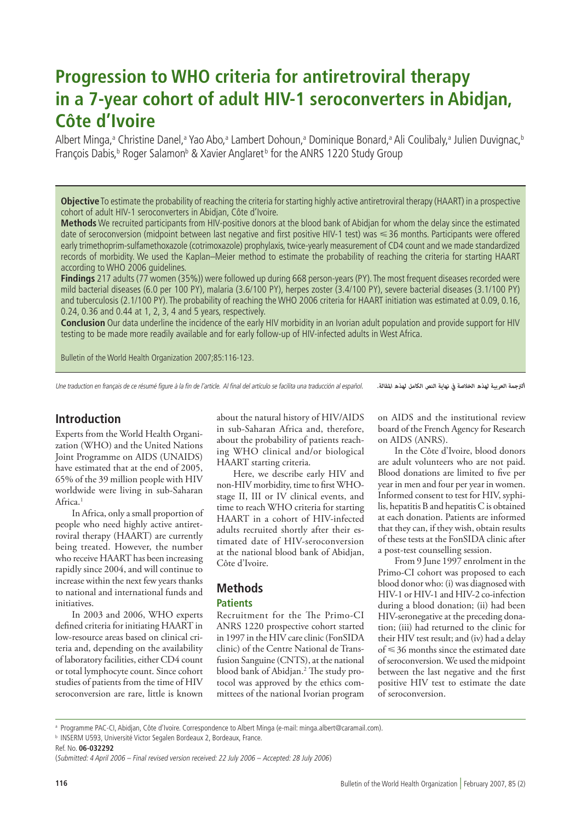# **Progression to WHO criteria for antiretroviral therapy in a 7-year cohort of adult HIV-1 seroconverters in Abidjan, Côte d'Ivoire**

Albert Minga,ª Christine Danel,ª Yao Abo,ª Lambert Dohoun,ª Dominique Bonard,ª Ali Coulibaly,ª Julien Duvignac,<sup>t</sup> François Dabis,<sup>b</sup> Roger Salamon<sup>b</sup> & Xavier Anglaret<sup>b</sup> for the ANRS 1220 Study Group

**Objective** To estimate the probability of reaching the criteria for starting highly active antiretroviral therapy (HAART) in a prospective cohort of adult HIV-1 seroconverters in Abidjan, Côte d'Ivoire.

**Methods** We recruited participants from HIV-positive donors at the blood bank of Abidjan for whom the delay since the estimated date of seroconversion (midpoint between last negative and first positive HIV-1 test) was <36 months. Participants were offered early trimethoprim-sulfamethoxazole (cotrimoxazole) prophylaxis, twice-yearly measurement of CD4 count and we made standardized records of morbidity. We used the Kaplan–Meier method to estimate the probability of reaching the criteria for starting HAART according to WHO 2006 guidelines.

**Findings** 217 adults (77 women (35%)) were followed up during 668 person-years (PY). The most frequent diseases recorded were mild bacterial diseases (6.0 per 100 PY), malaria (3.6/100 PY), herpes zoster (3.4/100 PY), severe bacterial diseases (3.1/100 PY) and tuberculosis (2.1/100 PY). The probability of reaching the WHO 2006 criteria for HAART initiation was estimated at 0.09, 0.16, 0.24, 0.36 and 0.44 at 1, 2, 3, 4 and 5 years, respectively.

**Conclusion** Our data underline the incidence of the early HIV morbidity in an Ivorian adult population and provide support for HIV testing to be made more readily available and for early follow-up of HIV-infected adults in West Africa.

Bulletin of the World Health Organization 2007;85:116-123.

Une traduction en français de ce résumé figure à la fin de l'article. Al final del artículo se facilita una traducción al español. *الرتجمة العربية لهذه الخالصة يف نهاية النص الكامل لهذه املقالة.*

# **Introduction**

Experts from the World Health Organization (WHO) and the United Nations Joint Programme on AIDS (UNAIDS) have estimated that at the end of 2005, 65% of the 39 million people with HIV worldwide were living in sub-Saharan Africa.<sup>1</sup>

In Africa, only a small proportion of people who need highly active antiretroviral therapy (HAART) are currently being treated. However, the number who receive HAART has been increasing rapidly since 2004, and will continue to increase within the next few years thanks to national and international funds and initiatives.

In 2003 and 2006, WHO experts defined criteria for initiating HAART in low-resource areas based on clinical criteria and, depending on the availability of laboratory facilities, either CD4 count or total lymphocyte count. Since cohort studies of patients from the time of HIV seroconversion are rare, little is known

about the natural history of HIV/AIDS in sub-Saharan Africa and, therefore, about the probability of patients reaching WHO clinical and/or biological HAART starting criteria.

Here, we describe early HIV and non-HIV morbidity, time to first WHOstage II, III or IV clinical events, and time to reach WHO criteria for starting HAART in a cohort of HIV-infected adults recruited shortly after their estimated date of HIV-seroconversion at the national blood bank of Abidjan, Côte d'Ivoire.

# **Methods Patients**

Recruitment for the The Primo-CI ANRS 1220 prospective cohort started in 1997 in the HIV care clinic (FonSIDA clinic) of the Centre National de Transfusion Sanguine (CNTS), at the national blood bank of Abidjan.2 The study protocol was approved by the ethics committees of the national Ivorian program

on AIDS and the institutional review board of the French Agency for Research on AIDS (ANRS).

In the Côte d'Ivoire, blood donors are adult volunteers who are not paid. Blood donations are limited to five per year in men and four per year in women. Informed consent to test for HIV, syphilis, hepatitis B and hepatitis C is obtained at each donation. Patients are informed that they can, if they wish, obtain results of these tests at the FonSIDA clinic after a post-test counselling session.

From 9 June 1997 enrolment in the Primo-CI cohort was proposed to each blood donor who: (i) was diagnosed with HIV-1 or HIV-1 and HIV-2 co-infection during a blood donation; (ii) had been HIV-seronegative at the preceding donation; (iii) had returned to the clinic for their HIV test result; and (iv) had a delay of  $\leq$  36 months since the estimated date of seroconversion. We used the midpoint between the last negative and the first positive HIV test to estimate the date of seroconversion.

<sup>a</sup> Programme PAC-CI, Abidjan, Côte d'Ivoire. Correspondence to Albert Minga (e-mail: minga.albert@caramail.com).

<sup>b</sup> INSERM U593, Université Victor Segalen Bordeaux 2, Bordeaux, France.

Ref. No. **06-032292**

<sup>(</sup>Submitted: 4 April 2006 – Final revised version received: 22 July 2006 – Accepted: 28 July 2006)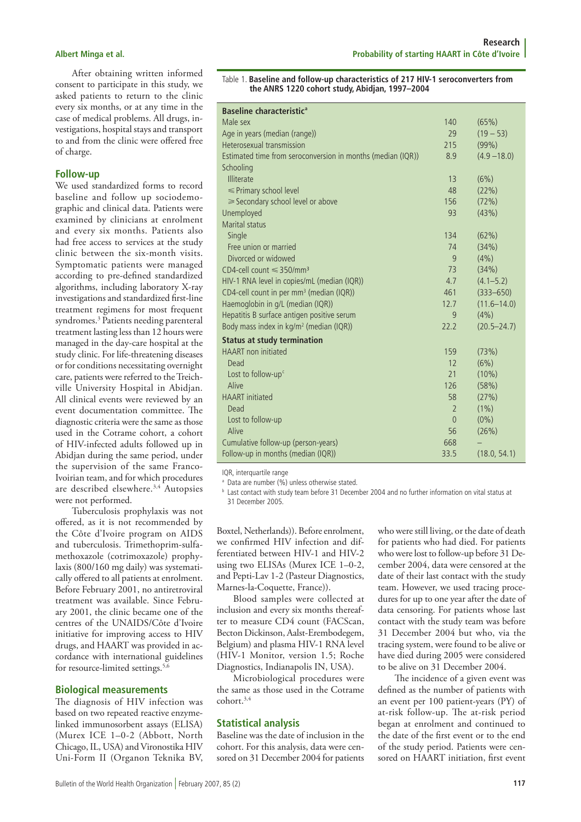After obtaining written informed consent to participate in this study, we asked patients to return to the clinic every six months, or at any time in the case of medical problems. All drugs, investigations, hospital stays and transport to and from the clinic were offered free of charge.

#### **Follow-up**

We used standardized forms to record baseline and follow up sociodemographic and clinical data. Patients were examined by clinicians at enrolment and every six months. Patients also had free access to services at the study clinic between the six-month visits. Symptomatic patients were managed according to pre-defined standardized algorithms, including laboratory X-ray investigations and standardized first-line treatment regimens for most frequent syndromes.<sup>3</sup> Patients needing parenteral treatment lasting less than 12 hours were managed in the day-care hospital at the study clinic. For life-threatening diseases or for conditions necessitating overnight care, patients were referred to the Treichville University Hospital in Abidjan. All clinical events were reviewed by an event documentation committee. The diagnostic criteria were the same as those used in the Cotrame cohort, a cohort of HIV-infected adults followed up in Abidjan during the same period, under the supervision of the same Franco-Ivoirian team, and for which procedures are described elsewhere.3,4 Autopsies were not performed.

Tuberculosis prophylaxis was not offered, as it is not recommended by the Côte d'Ivoire program on AIDS and tuberculosis. Trimethoprim-sulfamethoxazole (cotrimoxazole) prophylaxis (800/160 mg daily) was systematically offered to all patients at enrolment. Before February 2001, no antiretroviral treatment was available. Since February 2001, the clinic became one of the centres of the UNAIDS/Côte d'Ivoire initiative for improving access to HIV drugs, and HAART was provided in accordance with international guidelines for resource-limited settings.<sup>5,6</sup>

#### **Biological measurements**

The diagnosis of HIV infection was based on two repeated reactive enzymelinked immunosorbent assays (ELISA) (Murex ICE 1–0-2 (Abbott, North Chicago, IL, USA) and Vironostika HIV Uni-Form II (Organon Teknika BV,

Table 1. **Baseline and follow-up characteristics of 217 HIV-1 seroconverters from the ANRS 1220 cohort study, Abidjan, 1997–2004**

| Baseline characteristic <sup>a</sup>                        |                |                 |
|-------------------------------------------------------------|----------------|-----------------|
| Male sex                                                    | 140            | (65%)           |
| Age in years (median (range))                               | 29             | $(19 - 53)$     |
| Heterosexual transmission                                   | 215            | (99%)           |
| Estimated time from seroconversion in months (median (IQR)) | 8.9            | $(4.9 - 18.0)$  |
| Schooling                                                   |                |                 |
| Illiterate                                                  | 13             | (6%)            |
| ≤ Primary school level                                      | 48             | (22%)           |
| ≥ Secondary school level or above                           | 156            | (72%)           |
| Unemployed                                                  | 93             | (43%)           |
| Marital status                                              |                |                 |
| Single                                                      | 134            | (62%)           |
| Free union or married                                       | 74             | (34% )          |
| Divorced or widowed                                         | 9              | (4% )           |
| $CD4$ -cell count $\leq 350$ /mm <sup>3</sup>               | 73             | (34%)           |
| HIV-1 RNA level in copies/mL (median (IQR))                 | 4.7            | $(4.1 - 5.2)$   |
| CD4-cell count in per mm <sup>3</sup> (median (IQR))        | 461            | $(333 - 650)$   |
| Haemoglobin in g/L (median (IQR))                           | 12.7           | $(11.6 - 14.0)$ |
| Hepatitis B surface antigen positive serum                  | 9              | (4% )           |
| Body mass index in kg/m <sup>2</sup> (median (IQR))         | 22.2           | $(20.5 - 24.7)$ |
| <b>Status at study termination</b>                          |                |                 |
| <b>HAART</b> non initiated                                  | 159            | (73%)           |
| Dead                                                        | 12             | (6%)            |
| Lost to follow-up <sup>c</sup>                              | 21             | $(10\%)$        |
| Alive                                                       | 126            | (58%)           |
| <b>HAART</b> initiated                                      | 58             | (27%)           |
| Dead                                                        | $\overline{2}$ | $(1\%)$         |
| Lost to follow-up                                           | $\overline{0}$ | $(0\%)$         |
| Alive                                                       | 56             | (26%)           |
| Cumulative follow-up (person-years)                         | 668            |                 |
| Follow-up in months (median (IQR))                          | 33.5           | (18.0, 54.1)    |

IQR, interquartile range

<sup>a</sup> Data are number (%) unless otherwise stated.

<sup>b</sup> Last contact with study team before 31 December 2004 and no further information on vital status at 31 December 2005.

Boxtel, Netherlands)). Before enrolment, we confirmed HIV infection and differentiated between HIV-1 and HIV-2 using two ELISAs (Murex ICE 1–0-2, and Pepti-Lav 1-2 (Pasteur Diagnostics, Marnes-la-Coquette, France)).

Blood samples were collected at inclusion and every six months thereafter to measure CD4 count (FACScan, Becton Dickinson, Aalst-Erembodegem, Belgium) and plasma HIV-1 RNA level (HIV-1 Monitor, version 1.5; Roche Diagnostics, Indianapolis IN, USA).

Microbiological procedures were the same as those used in the Cotrame cohort.3,4

#### **Statistical analysis**

Baseline was the date of inclusion in the cohort. For this analysis, data were censored on 31 December 2004 for patients

who were still living, or the date of death for patients who had died. For patients who were lost to follow-up before 31 December 2004, data were censored at the date of their last contact with the study team. However, we used tracing procedures for up to one year after the date of data censoring. For patients whose last contact with the study team was before 31 December 2004 but who, via the tracing system, were found to be alive or have died during 2005 were considered to be alive on 31 December 2004.

The incidence of a given event was defined as the number of patients with an event per 100 patient-years (PY) of at-risk follow-up. The at-risk period began at enrolment and continued to the date of the first event or to the end of the study period. Patients were censored on HAART initiation, first event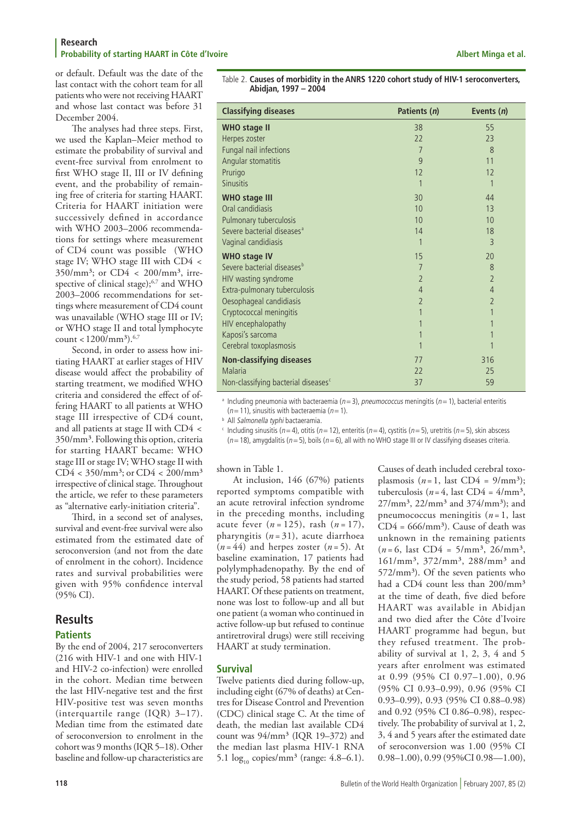or default. Default was the date of the last contact with the cohort team for all patients who were not receiving HAART and whose last contact was before 31 December 2004.

The analyses had three steps. First, we used the Kaplan–Meier method to estimate the probability of survival and event-free survival from enrolment to first WHO stage II, III or IV defining event, and the probability of remaining free of criteria for starting HAART. Criteria for HAART initiation were successively defined in accordance with WHO 2003–2006 recommendations for settings where measurement of CD4 count was possible (WHO stage IV; WHO stage III with CD4 <  $350/\text{mm}^3$ ; or  $CD4 < 200/\text{mm}^3$ , irrespective of clinical stage);<sup>6,7</sup> and WHO 2003–2006 recommendations for settings where measurement of CD4 count was unavailable (WHO stage III or IV; or WHO stage II and total lymphocyte count <  $1200/mm^3$ .<sup>6,7</sup>

Second, in order to assess how initiating HAART at earlier stages of HIV disease would affect the probability of starting treatment, we modified WHO criteria and considered the effect of offering HAART to all patients at WHO stage III irrespective of CD4 count, and all patients at stage II with CD4 < 350/mm³. Following this option, criteria for starting HAART became: WHO stage III or stage IV; WHO stage II with  $CD4 < 350/mm^3$ ; or  $CD4 < 200/mm^3$ irrespective of clinical stage. Throughout the article, we refer to these parameters as "alternative early-initiation criteria".

Third, in a second set of analyses, survival and event-free survival were also estimated from the estimated date of seroconversion (and not from the date of enrolment in the cohort). Incidence rates and survival probabilities were given with 95% confidence interval (95% CI).

# **Results**

### **Patients**

By the end of 2004, 217 seroconverters (216 with HIV-1 and one with HIV-1 and HIV-2 co-infection) were enrolled in the cohort. Median time between the last HIV-negative test and the first HIV-positive test was seven months (interquartile range (IQR) 3–17). Median time from the estimated date of seroconversion to enrolment in the cohort was 9 months (IQR 5–18). Other baseline and follow-up characteristics are

Table 2. **Causes of morbidity in the ANRS 1220 cohort study of HIV-1 seroconverters, Abidjan, 1997 – 2004**

| <b>Classifying diseases</b>                     | Patients (n)   | Events $(n)$   |
|-------------------------------------------------|----------------|----------------|
| <b>WHO stage II</b>                             | 38             | 55             |
| Herpes zoster                                   | 22             | 23             |
| Fungal nail infections                          | $\overline{7}$ | 8              |
| Angular stomatitis                              | 9              | 11             |
| Prurigo                                         | 12             | 12             |
| <b>Sinusitis</b>                                |                |                |
| <b>WHO stage III</b>                            | 30             | 44             |
| Oral candidiasis                                | 10             | 13             |
| Pulmonary tuberculosis                          | 10             | 10             |
| Severe bacterial diseases <sup>a</sup>          | 14             | 18             |
| Vaginal candidiasis                             | 1              | $\overline{3}$ |
| <b>WHO stage IV</b>                             | 15             | 20             |
| Severe bacterial diseases <sup>b</sup>          | 7              | 8              |
| HIV wasting syndrome                            | $\overline{2}$ | $\overline{2}$ |
| Extra-pulmonary tuberculosis                    | $\overline{4}$ | $\overline{4}$ |
| Oesophageal candidiasis                         | $\overline{2}$ | $\overline{2}$ |
| Cryptococcal meningitis                         |                | 1              |
| HIV encephalopathy                              |                |                |
| Kaposi's sarcoma                                |                |                |
| Cerebral toxoplasmosis                          |                |                |
| <b>Non-classifying diseases</b>                 | 77             | 316            |
| Malaria                                         | 22             | 25             |
| Non-classifying bacterial diseases <sup>c</sup> | 37             | 59             |

<sup>a</sup> Including pneumonia with bacteraemia ( $n=3$ ), pneumococcus meningitis ( $n=1$ ), bacterial enteritis  $(n=11)$ , sinusitis with bacteraemia ( $n=1$ ).

**b** All Salmonella typhi bactaeramia.

<sup>c</sup> Including sinusitis (n=4), otitis (n=12), enteritis (n=4), cystitis (n=5), uretritis (n=5), skin abscess  $(n=18)$ , amygdalitis (n=5), boils (n=6), all with no WHO stage III or IV classifying diseases criteria.

shown in Table 1.

At inclusion, 146 (67%) patients reported symptoms compatible with an acute retroviral infection syndrome in the preceding months, including acute fever (*n* = 125), rash (*n* = 17), pharyngitis (*n* = 31), acute diarrhoea  $(n=44)$  and herpes zoster  $(n=5)$ . At baseline examination, 17 patients had polylymphadenopathy. By the end of the study period, 58 patients had started HAART. Of these patients on treatment, none was lost to follow-up and all but one patient (a woman who continued in active follow-up but refused to continue antiretroviral drugs) were still receiving HAART at study termination.

### **Survival**

Twelve patients died during follow-up, including eight (67% of deaths) at Centres for Disease Control and Prevention (CDC) clinical stage C. At the time of death, the median last available CD4 count was  $94/\text{mm}^3$  (IQR 19-372) and the median last plasma HIV-1 RNA 5.1  $\log_{10}$  copies/mm<sup>3</sup> (range: 4.8–6.1).

Causes of death included cerebral toxoplasmosis  $(n=1,$  last  $CD4 = 9/mm^3$ ; tuberculosis ( $n = 4$ , last CD4 =  $4/mm<sup>3</sup>$ ,  $27/\text{mm}^3$ ,  $22/\text{mm}^3$  and  $374/\text{mm}^3$ ); and pneumococcus meningitis  $(n=1,$  last  $CD4 = 666/mm^3$ . Cause of death was unknown in the remaining patients  $(n=6,$  last CD4 =  $5/mm^3$ ,  $26/mm^3$ , 161/mm³, 372/mm³, 288/mm³ and  $572/\text{mm}^3$ ). Of the seven patients who had a CD4 count less than 200/mm<sup>3</sup> at the time of death, five died before HAART was available in Abidjan and two died after the Côte d'Ivoire HAART programme had begun, but they refused treatment. The probability of survival at 1, 2, 3, 4 and 5 years after enrolment was estimated at 0.99 (95% CI 0.97–1.00), 0.96 (95% CI 0.93–0.99), 0.96 (95% CI 0.93–0.99), 0.93 (95% CI 0.88–0.98) and 0.92 (95% CI 0.86–0.98), respectively. The probability of survival at 1, 2, 3, 4 and 5 years after the estimated date of seroconversion was 1.00 (95% CI 0.98–1.00), 0.99 (95%CI 0.98–1.00),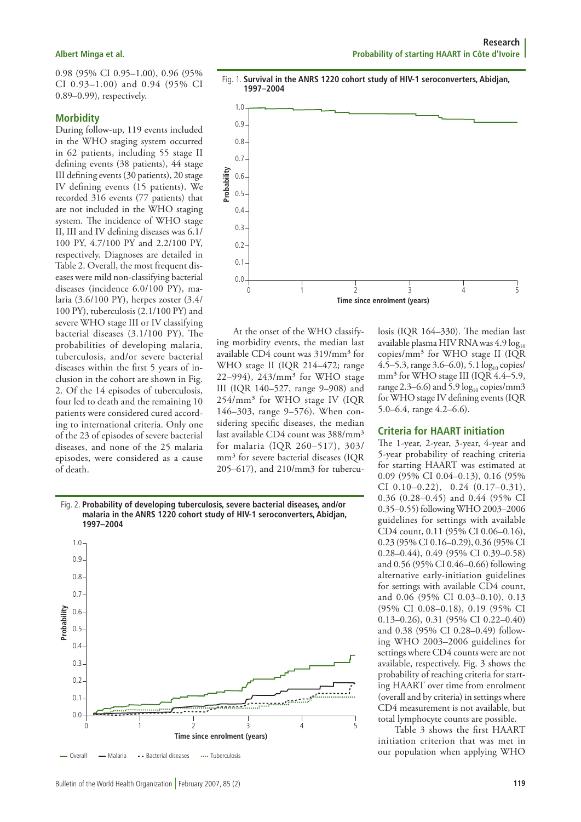0.98 (95% CI 0.95–1.00), 0.96 (95% CI 0.93–1.00) and 0.94 (95% CI 0.89–0.99), respectively.

#### **Morbidity**

During follow-up, 119 events included in the WHO staging system occurred in 62 patients, including 55 stage II defining events (38 patients), 44 stage III defining events (30 patients), 20 stage IV defining events (15 patients). We recorded 316 events (77 patients) that are not included in the WHO staging system. The incidence of WHO stage II, III and IV defining diseases was 6.1/ 100 PY, 4.7/100 PY and 2.2/100 PY, respectively. Diagnoses are detailed in Table 2. Overall, the most frequent diseases were mild non-classifying bacterial diseases (incidence 6.0/100 PY), malaria (3.6/100 PY), herpes zoster (3.4/ 100 PY), tuberculosis (2.1/100 PY) and severe WHO stage III or IV classifying bacterial diseases (3.1/100 PY). The probabilities of developing malaria, tuberculosis, and/or severe bacterial diseases within the first 5 years of inclusion in the cohort are shown in Fig. 2. Of the 14 episodes of tuberculosis, four led to death and the remaining 10 patients were considered cured according to international criteria. Only one of the 23 of episodes of severe bacterial diseases, and none of the 25 malaria episodes, were considered as a cause of death.

**1997–2004**

1.0 0.9 0.8  $0.7 -$ 0.6 0.5 0.4 0.3  $0.2$ 0.1

 $\sqrt{ }$ 

 $0.0$ 

**Probability**

 $\mathbf{0}$ **Time since enrolment (years)**  $0.0$ **Probability** 1.0 0.9 0.8 0.7 0.6 0.5 0.4 0.3  $0.2<sub>2</sub>$ 0.1 1 2 3 4 5

Fig. 1. **Survival in the ANRS 1220 cohort study of HIV-1 seroconverters, Abidjan,** 

At the onset of the WHO classifying morbidity events, the median last available CD4 count was 319/mm<sup>3</sup> for WHO stage II (IQR 214–472; range 22-994), 243/mm<sup>3</sup> for WHO stage III (IQR 140–527, range 9–908) and 254/mm³ for WHO stage IV (IQR 146–303, range 9–576). When considering specific diseases, the median last available CD4 count was 388/mm<sup>3</sup> for malaria (IQR 260–517), 303/ mm<sup>3</sup> for severe bacterial diseases (IQR 205–617), and 210/mm3 for tubercu-

**1997–2004**

losis (IQR 164–330). The median last available plasma HIV RNA was  $4.9 \log_{10}$ copies/mm³ for WHO stage II (IQR 4.5–5.3, range 3.6–6.0), 5.1  $log_{10}$  copies/ mm<sup>3</sup> for WHO stage III (IQR 4.4–5.9, range 2.3–6.6) and 5.9  $log_{10}$  copies/mm3 for WHO stage IV defining events (IQR 5.0–6.4, range 4.2–6.6).

### **Criteria for HAART initiation**

The 1-year, 2-year, 3-year, 4-year and 5-year probability of reaching criteria for starting HAART was estimated at 0.09 (95% CI 0.04–0.13), 0.16 (95% CI  $0.10-0.22$ ),  $0.24$   $(0.17-0.31)$ , 0.36 (0.28–0.45) and 0.44 (95% CI 0.35–0.55) following WHO 2003–2006 guidelines for settings with available CD4 count, 0.11 (95% CI 0.06–0.16), 0.23 (95% CI 0.16–0.29), 0.36 (95% CI 0.28–0.44), 0.49 (95% CI 0.39–0.58) and 0.56 (95% CI 0.46–0.66) following alternative early-initiation guidelines for settings with available CD4 count, and 0.06 (95% CI 0.03–0.10), 0.13 (95% CI 0.08–0.18), 0.19 (95% CI 0.13–0.26), 0.31 (95% CI 0.22–0.40) and 0.38 (95% CI 0.28–0.49) following WHO 2003–2006 guidelines for settings where CD4 counts were are not available, respectively. Fig. 3 shows the probability of reaching criteria for starting HAART over time from enrolment (overall and by criteria) in settings where CD4 measurement is not available, but total lymphocyte counts are possible.

Table 3 shows the first HAART initiation criterion that was met in our population when applying WHO

Fig. 2. **Probability of developing tuberculosis, severe bacterial diseases, and/or malaria in the ANRS 1220 cohort study of HIV-1 seroconverters, Abidjan,** 

**Time since enrolment (years)**

<del>magaa</del>nn

1 2 3 4 5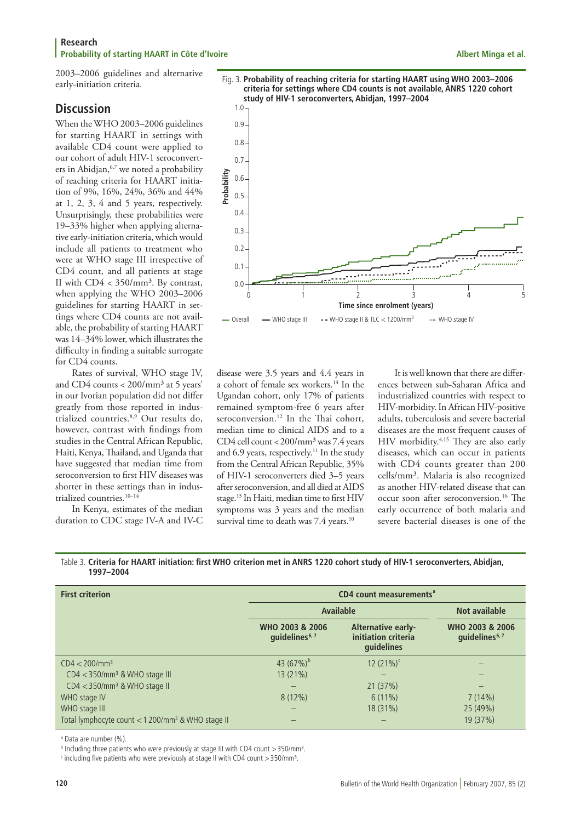#### **Research Probability of starting HAART in Côte d'Ivoire Albert Minga et al. Albert Minga et al. Albert Minga et al. Albert Minga et al.**

2003–2006 guidelines and alternative early-initiation criteria.

# **Discussion**

When the WHO 2003–2006 guidelines for starting HAART in settings with available CD4 count were applied to our cohort of adult HIV-1 seroconverters in Abidjan,<sup>6,7</sup> we noted a probability of reaching criteria for HAART initiation of 9%, 16%, 24%, 36% and 44% at 1, 2, 3, 4 and 5 years, respectively. Unsurprisingly, these probabilities were 19–33% higher when applying alternative early-initiation criteria, which would include all patients to treatment who were at WHO stage III irrespective of CD4 count, and all patients at stage II with  $CD4 < 350/mm^3$ . By contrast, when applying the WHO 2003–2006 guidelines for starting HAART in settings where CD4 counts are not available, the probability of starting HAART was 14–34% lower, which illustrates the difficulty in finding a suitable surrogate for CD4 counts.

Rates of survival, WHO stage IV, and CD4 counts < 200/mm³ at 5 years' in our Ivorian population did not differ greatly from those reported in industrialized countries.8,9 Our results do, however, contrast with findings from studies in the Central African Republic, Haiti, Kenya, Thailand, and Uganda that have suggested that median time from seroconversion to first HIV diseases was shorter in these settings than in industrialized countries.<sup>10-14</sup>

In Kenya, estimates of the median duration to CDC stage IV-A and IV-C



disease were 3.5 years and 4.4 years in a cohort of female sex workers.14 In the Ugandan cohort, only 17% of patients remained symptom-free 6 years after seroconversion.<sup>12</sup> In the Thai cohort, median time to clinical AIDS and to a CD4 cell count <200/mm³ was 7.4 years and 6.9 years, respectively.<sup>11</sup> In the study from the Central African Republic, 35% of HIV-1 seroconverters died 3–5 years after seroconversion, and all died at AIDS stage.13 In Haiti, median time to first HIV symptoms was 3 years and the median survival time to death was 7.4 years.<sup>10</sup>

It is well known that there are differences between sub-Saharan Africa and industrialized countries with respect to HIV-morbidity. In African HIV-positive adults, tuberculosis and severe bacterial diseases are the most frequent causes of HIV morbidity.4,15 They are also early diseases, which can occur in patients with CD4 counts greater than 200 cells/mm³. Malaria is also recognized as another HIV-related disease that can occur soon after seroconversion.16 The early occurrence of both malaria and severe bacterial diseases is one of the

Table 3. **Criteria for HAART initiation: first WHO criterion met in ANRS 1220 cohort study of HIV-1 seroconverters, Abidjan, 1997–2004**

| <b>First criterion</b>                                          | CD4 count measurements <sup>a</sup>           |                                                         |                                               |
|-----------------------------------------------------------------|-----------------------------------------------|---------------------------------------------------------|-----------------------------------------------|
|                                                                 | Available                                     |                                                         | Not available                                 |
|                                                                 | WHO 2003 & 2006<br>quidelines <sup>6, 7</sup> | Alternative early-<br>initiation criteria<br>guidelines | WHO 2003 & 2006<br>quidelines <sup>6, 7</sup> |
| $CD4 < 200/mm^3$                                                | 43 $(67%)^b$                                  | $12(21\%)^c$                                            |                                               |
| $CD4 < 350$ /mm <sup>3</sup> & WHO stage III                    | 13(21%)                                       |                                                         |                                               |
| $CD4 < 350$ /mm <sup>3</sup> & WHO stage II                     |                                               | 21(37%)                                                 |                                               |
| WHO stage IV                                                    | $8(12\%)$                                     | $6(11\%)$                                               | 7(14%)                                        |
| WHO stage III                                                   |                                               | 18 (31%)                                                | 25 (49%)                                      |
| Total lymphocyte count $<$ 1 200/mm <sup>3</sup> & WHO stage II |                                               | $\overline{\phantom{0}}$                                | 19 (37%)                                      |

a Data are number (%).

**b Including three patients who were previously at stage III with CD4 count > 350/mm<sup>3</sup>.** 

 $\cdot$  including five patients who were previously at stage II with CD4 count  $>$  350/mm<sup>3</sup>.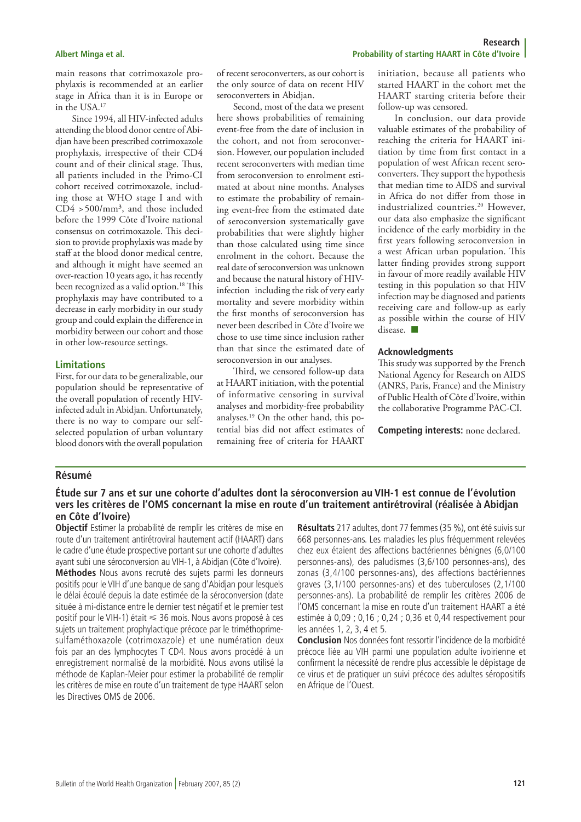main reasons that cotrimoxazole prophylaxis is recommended at an earlier stage in Africa than it is in Europe or in the USA.17

Since 1994, all HIV-infected adults attending the blood donor centre of Abidjan have been prescribed cotrimoxazole prophylaxis, irrespective of their CD4 count and of their clinical stage. Thus, all patients included in the Primo-CI cohort received cotrimoxazole, including those at WHO stage I and with  $CD4 > 500/mm^3$ , and those included before the 1999 Côte d'Ivoire national consensus on cotrimoxazole. This decision to provide prophylaxis was made by staff at the blood donor medical centre, and although it might have seemed an over-reaction 10 years ago, it has recently been recognized as a valid option.<sup>18</sup> This prophylaxis may have contributed to a decrease in early morbidity in our study group and could explain the difference in morbidity between our cohort and those in other low-resource settings.

#### **Limitations**

First, for our data to be generalizable, our population should be representative of the overall population of recently HIVinfected adult in Abidjan. Unfortunately, there is no way to compare our selfselected population of urban voluntary blood donors with the overall population

of recent seroconverters, as our cohort is the only source of data on recent HIV seroconverters in Abidjan.

Second, most of the data we present here shows probabilities of remaining event-free from the date of inclusion in the cohort, and not from seroconversion. However, our population included recent seroconverters with median time from seroconversion to enrolment estimated at about nine months. Analyses to estimate the probability of remaining event-free from the estimated date of seroconversion systematically gave probabilities that were slightly higher than those calculated using time since enrolment in the cohort. Because the real date of seroconversion was unknown and because the natural history of HIVinfection including the risk of very early mortality and severe morbidity within the first months of seroconversion has never been described in Côte d'Ivoire we chose to use time since inclusion rather than that since the estimated date of seroconversion in our analyses.

Third, we censored follow-up data at HAART initiation, with the potential of informative censoring in survival analyses and morbidity-free probability analyses.19 On the other hand, this potential bias did not affect estimates of remaining free of criteria for HAART

initiation, because all patients who started HAART in the cohort met the HAART starting criteria before their follow-up was censored.

In conclusion, our data provide valuable estimates of the probability of reaching the criteria for HAART initiation by time from first contact in a population of west African recent seroconverters. They support the hypothesis that median time to AIDS and survival in Africa do not differ from those in industrialized countries.<sup>20</sup> However, our data also emphasize the significant incidence of the early morbidity in the first years following seroconversion in a west African urban population. This latter finding provides strong support in favour of more readily available HIV testing in this population so that HIV infection may be diagnosed and patients receiving care and follow-up as early as possible within the course of HIV disease.  $\Box$ 

#### **Acknowledgments**

This study was supported by the French National Agency for Research on AIDS (ANRS, Paris, France) and the Ministry of Public Health of Côte d'Ivoire, within the collaborative Programme PAC-CI.

**Competing interests:** none declared.

### **Résumé**

### **Étude sur 7 ans et sur une cohorte d'adultes dont la séroconversion au VIH-1 est connue de l'évolution vers les critères de l'OMS concernant la mise en route d'un traitement antirétroviral (réalisée à Abidjan en Côte d'Ivoire)**

**Objectif** Estimer la probabilité de remplir les critères de mise en route d'un traitement antirétroviral hautement actif (HAART) dans le cadre d'une étude prospective portant sur une cohorte d'adultes ayant subi une séroconversion au VIH-1, à Abidjan (Côte d'Ivoire). **Méthodes** Nous avons recruté des sujets parmi les donneurs positifs pour le VIH d'une banque de sang d'Abidjan pour lesquels le délai écoulé depuis la date estimée de la séroconversion (date située à mi-distance entre le dernier test négatif et le premier test positif pour le VIH-1) était < 36 mois. Nous avons proposé à ces sujets un traitement prophylactique précoce par le triméthoprimesulfaméthoxazole (cotrimoxazole) et une numération deux fois par an des lymphocytes T CD4. Nous avons procédé à un enregistrement normalisé de la morbidité. Nous avons utilisé la méthode de Kaplan-Meier pour estimer la probabilité de remplir les critères de mise en route d'un traitement de type HAART selon les Directives OMS de 2006.

**Résultats** 217 adultes, dont 77 femmes (35 %), ont été suivis sur 668 personnes-ans. Les maladies les plus fréquemment relevées chez eux étaient des affections bactériennes bénignes (6,0/100 personnes-ans), des paludismes (3,6/100 personnes-ans), des zonas (3,4/100 personnes-ans), des affections bactériennes graves (3,1/100 personnes-ans) et des tuberculoses (2,1/100 personnes-ans). La probabilité de remplir les critères 2006 de l'OMS concernant la mise en route d'un traitement HAART a été estimée à 0,09 ; 0,16 ; 0,24 ; 0,36 et 0,44 respectivement pour les années 1, 2, 3, 4 et 5.

**Conclusion** Nos données font ressortir l'incidence de la morbidité précoce liée au VIH parmi une population adulte ivoirienne et confirment la nécessité de rendre plus accessible le dépistage de ce virus et de pratiquer un suivi précoce des adultes séropositifs en Afrique de l'Ouest.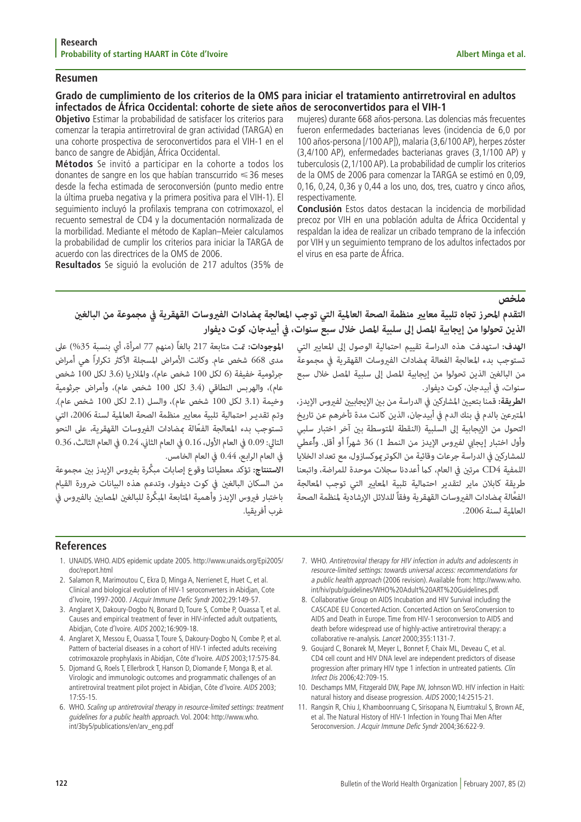#### **Resumen**

## **Grado de cumplimiento de los criterios de la OMS para iniciar el tratamiento antirretroviral en adultos infectados de África Occidental: cohorte de siete años de seroconvertidos para el VIH-1**

**Objetivo** Estimar la probabilidad de satisfacer los criterios para comenzar la terapia antirretroviral de gran actividad (TARGA) en una cohorte prospectiva de seroconvertidos para el VIH-1 en el banco de sangre de Abidján, África Occidental.

**Métodos** Se invitó a participar en la cohorte a todos los donantes de sangre en los que habían transcurrido <36 meses desde la fecha estimada de seroconversión (punto medio entre la última prueba negativa y la primera positiva para el VIH-1). El seguimiento incluyó la profilaxis temprana con cotrimoxazol, el recuento semestral de CD4 y la documentación normalizada de la morbilidad. Mediante el método de Kaplan–Meier calculamos la probabilidad de cumplir los criterios para iniciar la TARGA de acuerdo con las directrices de la OMS de 2006.

**Resultados** Se siguió la evolución de 217 adultos (35% de

mujeres) durante 668 años-persona. Las dolencias más frecuentes fueron enfermedades bacterianas leves (incidencia de 6,0 por 100 años-persona [/100 AP]), malaria (3,6/100 AP), herpes zóster (3,4/100 AP), enfermedades bacterianas graves (3,1/100 AP) y tuberculosis (2,1/100 AP). La probabilidad de cumplir los criterios de la OMS de 2006 para comenzar la TARGA se estimó en 0,09, 0,16, 0,24, 0,36 y 0,44 a los uno, dos, tres, cuatro y cinco años, respectivamente.

**Conclusión** Estos datos destacan la incidencia de morbilidad precoz por VIH en una población adulta de África Occidental y respaldan la idea de realizar un cribado temprano de la infección por VIH y un seguimiento temprano de los adultos infectados por el virus en esa parte de África.

العاملية لسنة .2006

**ملخص**<br>التقدم ال**حرز تجاه تلبية معايير منظمة الصحة العالمية التي توجب المعالجة مضادات الفيروسات القهقرية في مجموعة من البالغين<br>التقدم المحرز تجاه تلبية المصل إلى سلبية المصل خلال سبع سنوات، في أبيدجان، كوت ديفوار<br>الهدف: ا** ا**لهدف:** استهدفت هذه الدراسة تقييم احتمالية الوصول إلى المعايير التي لل**لوجودات:** قت متابعة 217 بالغاً (منهم 77 امرأة، أي بنسبة 35%) على<br>تستوجب بدء المعالجة الفعالة عضادات الفيروسات القهقرية في مجموعة للدين 668 شخص عام. و

في العام الرابع، 0.44 في العام الخامس.<br>ا**لاستنتاج:** تؤكد معطياتنا وقوع إصابات مبكِّرة بفيروس الإيدز بين مجموعة<br>من السكان البالغين في كوت ديفوار، وتدعم هذه البيانات ضرورة القيام<br>باختبار فيروس الإيدز وأهمية المتابعة المبكِّ

### **References**

- 1. UNAIDS. WHO. AIDS epidemic update 2005. http://www.unaids.org/Epi2005/ doc/report.html
- 2. Salamon R, Marimoutou C, Ekra D, Minga A, Nerrienet E, Huet C, et al. Clinical and biological evolution of HIV-1 seroconverters in Abidjan, Cote d'Ivoire, 1997-2000. J Acquir Immune Defic Syndr 2002;29:149-57.
- 3. Anglaret X, Dakoury-Dogbo N, Bonard D, Toure S, Combe P, Ouassa T, et al. Causes and empirical treatment of fever in HIV-infected adult outpatients, Abidjan, Cote d'Ivoire. AIDS 2002;16:909-18.
- 4. Anglaret X, Messou E, Ouassa T, Toure S, Dakoury-Dogbo N, Combe P, et al. Pattern of bacterial diseases in a cohort of HIV-1 infected adults receiving cotrimoxazole prophylaxis in Abidjan, Côte d'Ivoire. AIDS 2003;17:575-84.
- 5. Djomand G, Roels T, Ellerbrock T, Hanson D, Diomande F, Monga B, et al. Virologic and immunologic outcomes and programmatic challenges of an antiretroviral treatment pilot project in Abidjan, Côte d'Ivoire. AIDS 2003; 17:S5-15.
- 6. WHO. Scaling up antiretroviral therapy in resource-limited settings: treatment guidelines for a public health approach. Vol. 2004: http://www.who. int/3by5/publications/en/arv\_eng.pdf
- 7. WHO. Antiretroviral therapy for HIV infection in adults and adolescents in resource-limited settings: towards universal access: recommendations for a public health approach (2006 revision). Available from: http://www.who. int/hiv/pub/guidelines/WHO%20Adult%20ART%20Guidelines.pdf.
- 8. Collaborative Group on AIDS Incubation and HIV Survival including the CASCADE EU Concerted Action. Concerted Action on SeroConversion to AIDS and Death in Europe. Time from HIV-1 seroconversion to AIDS and death before widespread use of highly-active antiretroviral therapy: a collaborative re-analysis. Lancet 2000;355:1131-7.
- 9. Goujard C, Bonarek M, Meyer L, Bonnet F, Chaix ML, Deveau C, et al. CD4 cell count and HIV DNA level are independent predictors of disease progression after primary HIV type 1 infection in untreated patients. Clin Infect Dis 2006;42:709-15.
- 10. Deschamps MM, Fitzgerald DW, Pape JW, Johnson WD. HIV infection in Haiti: natural history and disease progression. AIDS 2000;14:2515-21.
- 11. Rangsin R, Chiu J, Khamboonruang C, Sirisopana N, Eiumtrakul S, Brown AE, et al. The Natural History of HIV-1 Infection in Young Thai Men After Seroconversion. J Acquir Immune Defic Syndr 2004;36:622-9.